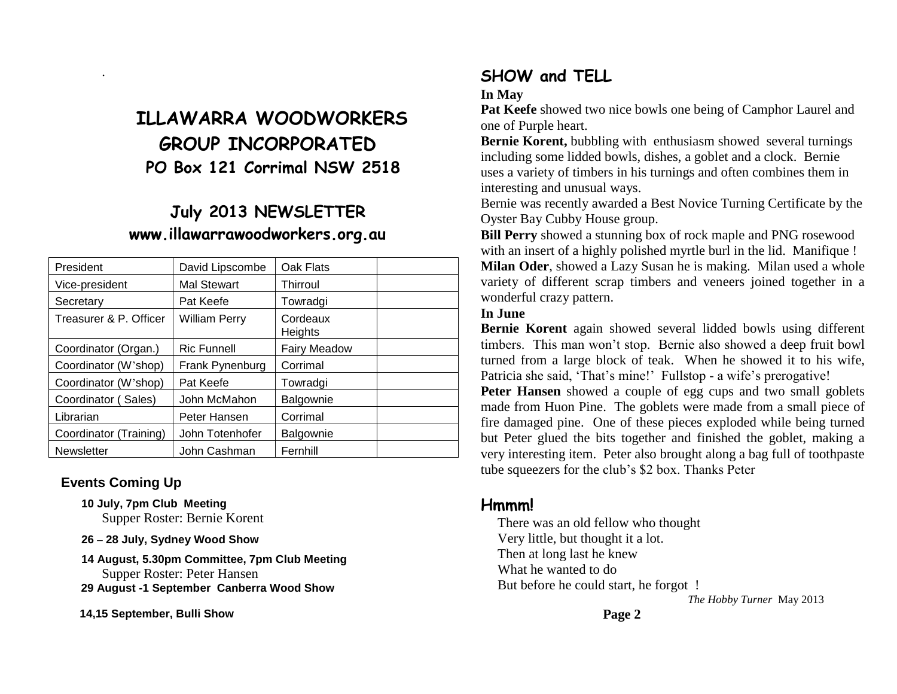# **ILLAWARRA WOODWORKERS GROUP INCORPORATED PO Box 121 Corrimal NSW 2518**

# **July 2013 NEWSLETTER www.illawarrawoodworkers.org.au**

| President              | David Lipscombe      | Oak Flats           |  |
|------------------------|----------------------|---------------------|--|
| Vice-president         | <b>Mal Stewart</b>   | Thirroul            |  |
| Secretary              | Pat Keefe            | Towradgi            |  |
| Treasurer & P. Officer | <b>William Perry</b> | Cordeaux<br>Heights |  |
| Coordinator (Organ.)   | <b>Ric Funnell</b>   | <b>Fairy Meadow</b> |  |
| Coordinator (W'shop)   | Frank Pynenburg      | Corrimal            |  |
| Coordinator (W'shop)   | Pat Keefe            | Towradgi            |  |
| Coordinator (Sales)    | John McMahon         | Balgownie           |  |
| Librarian              | Peter Hansen         | Corrimal            |  |
| Coordinator (Training) | John Totenhofer      | Balgownie           |  |
| <b>Newsletter</b>      | John Cashman         | Fernhill            |  |

#### **Events Coming Up**

.

- **10 July, 7pm Club Meeting** Supper Roster: Bernie Korent
- **26 – 28 July, Sydney Wood Show**
- **14 August, 5.30pm Committee, 7pm Club Meeting** Supper Roster: Peter Hansen **29 August -1 September Canberra Wood Show**

 **14,15 September, Bulli Show**

## **SHOW and TELL**

**In May**

**Pat Keefe** showed two nice bowls one being of Camphor Laurel and one of Purple heart.

**Bernie Korent,** bubbling with enthusiasm showed several turnings including some lidded bowls, dishes, a goblet and a clock. Bernie uses a variety of timbers in his turnings and often combines them in interesting and unusual ways.

Bernie was recently awarded a Best Novice Turning Certificate by the Oyster Bay Cubby House group.

**Bill Perry** showed a stunning box of rock maple and PNG rosewood with an insert of a highly polished myrtle burl in the lid. Manifique ! **Milan Oder**, showed a Lazy Susan he is making. Milan used a whole variety of different scrap timbers and veneers joined together in a wonderful crazy pattern.

#### **In June**

**Bernie Korent** again showed several lidded bowls using different timbers. This man won't stop. Bernie also showed a deep fruit bowl turned from a large block of teak. When he showed it to his wife, Patricia she said, 'That's mine!' Fullstop - a wife's prerogative!

**Peter Hansen** showed a couple of egg cups and two small goblets made from Huon Pine. The goblets were made from a small piece of fire damaged pine. One of these pieces exploded while being turned but Peter glued the bits together and finished the goblet, making a very interesting item. Peter also brought along a bag full of toothpaste tube squeezers for the club's \$2 box. Thanks Peter

### **Hmmm!**

 There was an old fellow who thought Very little, but thought it a lot. Then at long last he knew What he wanted to do But before he could start, he forgot ! *The Hobby Turner* May 2013

**Page 2**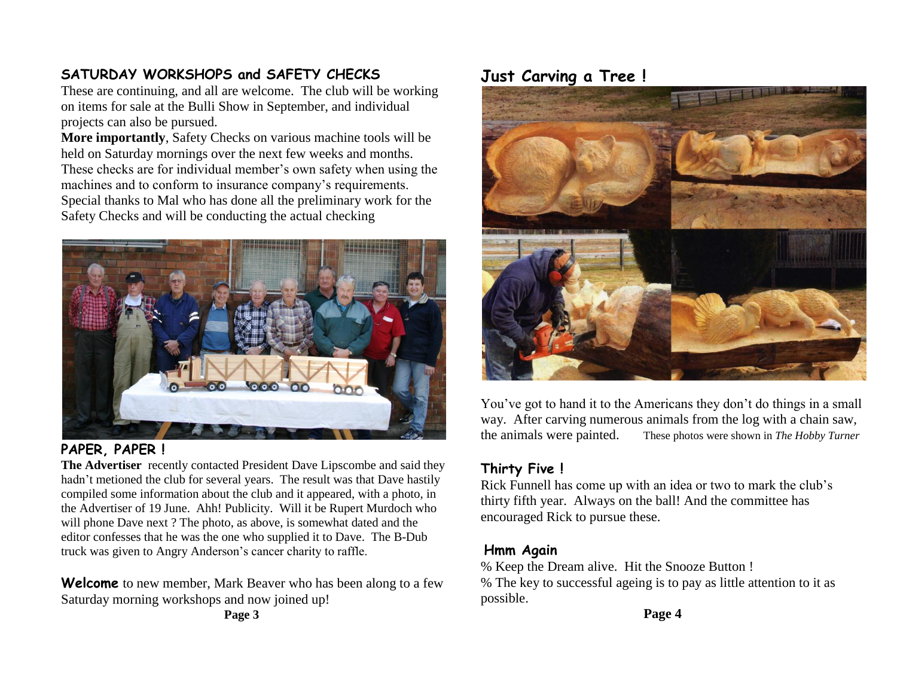### **SATURDAY WORKSHOPS and SAFETY CHECKS**

These are continuing, and all are welcome. The club will be working on items for sale at the Bulli Show in September, and individual projects can also be pursued.

**More importantly**, Safety Checks on various machine tools will be held on Saturday mornings over the next few weeks and months. These checks are for individual member's own safety when using the machines and to conform to insurance company's requirements. Special thanks to Mal who has done all the preliminary work for the Safety Checks and will be conducting the actual checking



#### **PAPER, PAPER !**

**The Advertiser** recently contacted President Dave Lipscombe and said they hadn't metioned the club for several years. The result was that Dave hastily compiled some information about the club and it appeared, with a photo, in the Advertiser of 19 June. Ahh! Publicity. Will it be Rupert Murdoch who will phone Dave next ? The photo, as above, is somewhat dated and the editor confesses that he was the one who supplied it to Dave. The B-Dub truck was given to Angry Anderson's cancer charity to raffle.

**Welcome** to new member, Mark Beaver who has been along to a few Saturday morning workshops and now joined up!

**Page 3**

### **Just Carving a Tree !**



You've got to hand it to the Americans they don't do things in a small way. After carving numerous animals from the log with a chain saw, the animals were painted. These photos were shown in *The Hobby Turner*

### **Thirty Five !**

Rick Funnell has come up with an idea or two to mark the club's thirty fifth year. Always on the ball! And the committee has encouraged Rick to pursue these.

#### **Hmm Again**

% Keep the Dream alive. Hit the Snooze Button ! % The key to successful ageing is to pay as little attention to it as possible.